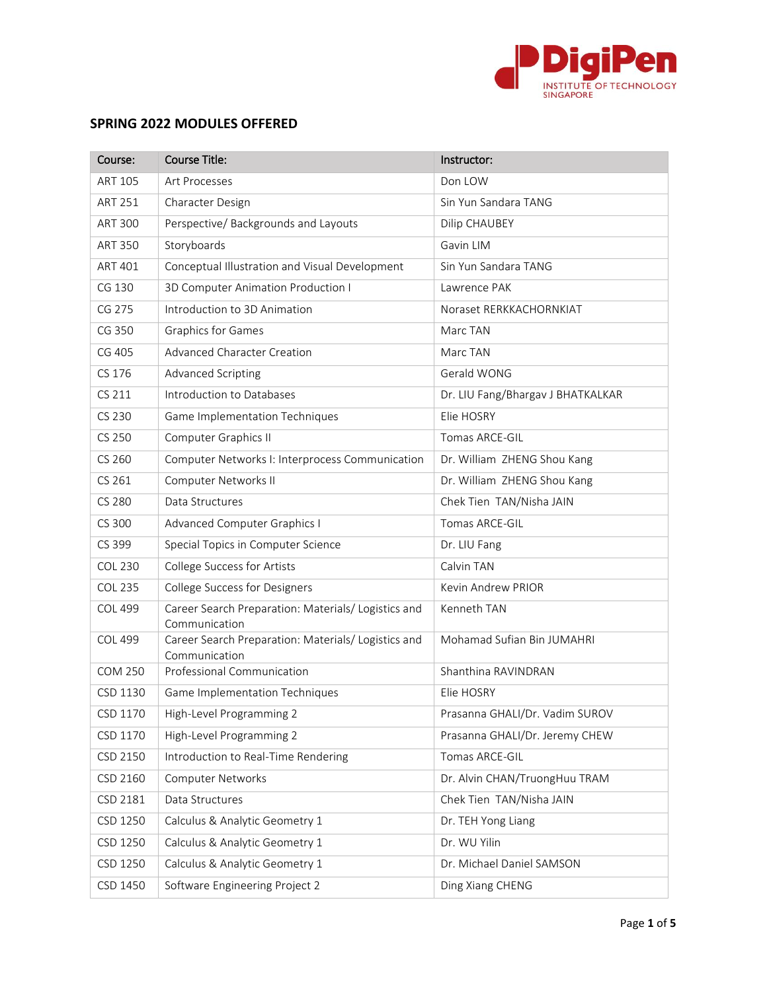

## **SPRING 2022 MODULES OFFERED**

| Course:        | <b>Course Title:</b>                                                 | Instructor:                       |
|----------------|----------------------------------------------------------------------|-----------------------------------|
| <b>ART 105</b> | Art Processes                                                        | Don LOW                           |
| <b>ART 251</b> | Character Design                                                     | Sin Yun Sandara TANG              |
| <b>ART 300</b> | Perspective/ Backgrounds and Layouts                                 | Dilip CHAUBEY                     |
| <b>ART 350</b> | Storyboards                                                          | Gavin LIM                         |
| <b>ART 401</b> | Conceptual Illustration and Visual Development                       | Sin Yun Sandara TANG              |
| CG 130         | 3D Computer Animation Production I                                   | Lawrence PAK                      |
| CG 275         | Introduction to 3D Animation                                         | Noraset RERKKACHORNKIAT           |
| CG 350         | Graphics for Games                                                   | Marc TAN                          |
| CG 405         | <b>Advanced Character Creation</b>                                   | Marc TAN                          |
| CS 176         | Advanced Scripting                                                   | Gerald WONG                       |
| CS 211         | Introduction to Databases                                            | Dr. LIU Fang/Bhargav J BHATKALKAR |
| CS 230         | Game Implementation Techniques                                       | Elie HOSRY                        |
| CS 250         | Computer Graphics II                                                 | Tomas ARCE-GIL                    |
| CS 260         | Computer Networks I: Interprocess Communication                      | Dr. William ZHENG Shou Kang       |
| CS 261         | Computer Networks II                                                 | Dr. William ZHENG Shou Kang       |
| <b>CS 280</b>  | Data Structures                                                      | Chek Tien TAN/Nisha JAIN          |
| CS 300         | Advanced Computer Graphics I                                         | Tomas ARCE-GIL                    |
| CS 399         | Special Topics in Computer Science                                   | Dr. LIU Fang                      |
| <b>COL 230</b> | College Success for Artists                                          | Calvin TAN                        |
| <b>COL 235</b> | College Success for Designers                                        | Kevin Andrew PRIOR                |
| <b>COL 499</b> | Career Search Preparation: Materials/ Logistics and<br>Communication | Kenneth TAN                       |
| <b>COL 499</b> | Career Search Preparation: Materials/ Logistics and                  | Mohamad Sufian Bin JUMAHRI        |
| <b>COM 250</b> | Communication<br>Professional Communication                          | Shanthina RAVINDRAN               |
| CSD 1130       | Game Implementation Techniques                                       | Elie HOSRY                        |
| CSD 1170       | High-Level Programming 2                                             | Prasanna GHALI/Dr. Vadim SUROV    |
| CSD 1170       | High-Level Programming 2                                             | Prasanna GHALI/Dr. Jeremy CHEW    |
| CSD 2150       | Introduction to Real-Time Rendering                                  | Tomas ARCE-GIL                    |
| CSD 2160       | Computer Networks                                                    | Dr. Alvin CHAN/TruongHuu TRAM     |
| CSD 2181       | Data Structures                                                      | Chek Tien TAN/Nisha JAIN          |
| CSD 1250       | Calculus & Analytic Geometry 1                                       | Dr. TEH Yong Liang                |
| CSD 1250       | Calculus & Analytic Geometry 1                                       | Dr. WU Yilin                      |
| CSD 1250       | Calculus & Analytic Geometry 1                                       | Dr. Michael Daniel SAMSON         |
| CSD 1450       | Software Engineering Project 2                                       | Ding Xiang CHENG                  |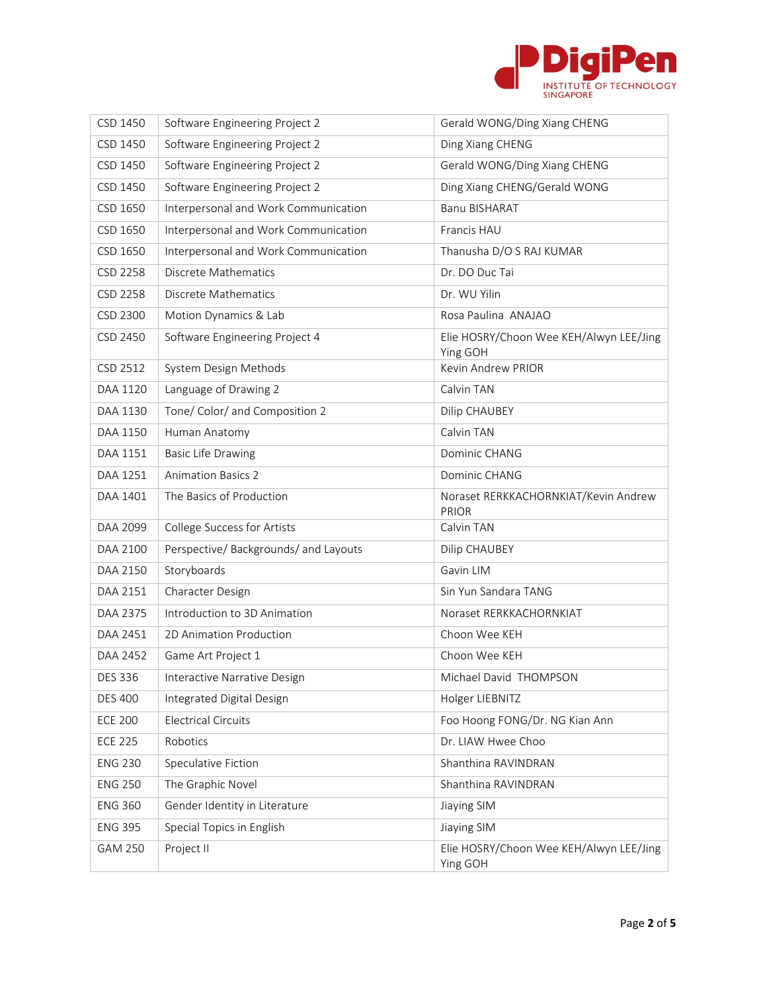

| CSD 1450        | Software Engineering Project 2        | Gerald WONG/Ding Xiang CHENG                         |
|-----------------|---------------------------------------|------------------------------------------------------|
| CSD 1450        | Software Engineering Project 2        | Ding Xiang CHENG                                     |
| CSD 1450        | Software Engineering Project 2        | Gerald WONG/Ding Xiang CHENG                         |
| CSD 1450        | Software Engineering Project 2        | Ding Xiang CHENG/Gerald WONG                         |
| CSD 1650        | Interpersonal and Work Communication  | <b>Banu BISHARAT</b>                                 |
| CSD 1650        | Interpersonal and Work Communication  | Francis HAU                                          |
| CSD 1650        | Interpersonal and Work Communication  | Thanusha D/O S RAJ KUMAR                             |
| CSD 2258        | Discrete Mathematics                  | Dr. DO Duc Tai                                       |
| <b>CSD 2258</b> | Discrete Mathematics                  | Dr. WU Yilin                                         |
| CSD 2300        | Motion Dynamics & Lab                 | Rosa Paulina ANAJAO                                  |
| CSD 2450        | Software Engineering Project 4        | Elie HOSRY/Choon Wee KEH/Alwyn LEE/Jing<br>Ying GOH  |
| CSD 2512        | System Design Methods                 | Kevin Andrew PRIOR                                   |
| DAA 1120        | Language of Drawing 2                 | Calvin TAN                                           |
| DAA 1130        | Tone/ Color/ and Composition 2        | Dilip CHAUBEY                                        |
| DAA 1150        | Human Anatomy                         | Calvin TAN                                           |
| DAA 1151        | <b>Basic Life Drawing</b>             | Dominic CHANG                                        |
| DAA 1251        | <b>Animation Basics 2</b>             | Dominic CHANG                                        |
| DAA 1401        | The Basics of Production              | Noraset RERKKACHORNKIAT/Kevin Andrew<br><b>PRIOR</b> |
| DAA 2099        | College Success for Artists           | Calvin TAN                                           |
| DAA 2100        | Perspective/ Backgrounds/ and Layouts | Dilip CHAUBEY                                        |
| DAA 2150        | Storyboards                           | Gavin LIM                                            |
| DAA 2151        | Character Design                      | Sin Yun Sandara TANG                                 |
| DAA 2375        | Introduction to 3D Animation          | Noraset RERKKACHORNKIAT                              |
| DAA 2451        | 2D Animation Production               | Choon Wee KEH                                        |
| DAA 2452        | Game Art Project 1                    | Choon Wee KEH                                        |
| <b>DES 336</b>  | Interactive Narrative Design          | Michael David THOMPSON                               |
| <b>DES 400</b>  | Integrated Digital Design             | Holger LIEBNITZ                                      |
| <b>ECE 200</b>  | <b>Electrical Circuits</b>            | Foo Hoong FONG/Dr. NG Kian Ann                       |
| <b>ECE 225</b>  | Robotics                              | Dr. LIAW Hwee Choo                                   |
| <b>ENG 230</b>  | Speculative Fiction                   | Shanthina RAVINDRAN                                  |
| <b>ENG 250</b>  | The Graphic Novel                     | Shanthina RAVINDRAN                                  |
| <b>ENG 360</b>  | Gender Identity in Literature         | Jiaying SIM                                          |
| <b>ENG 395</b>  | Special Topics in English             | Jiaying SIM                                          |
| <b>GAM 250</b>  | Project II                            | Elie HOSRY/Choon Wee KEH/Alwyn LEE/Jing<br>Ying GOH  |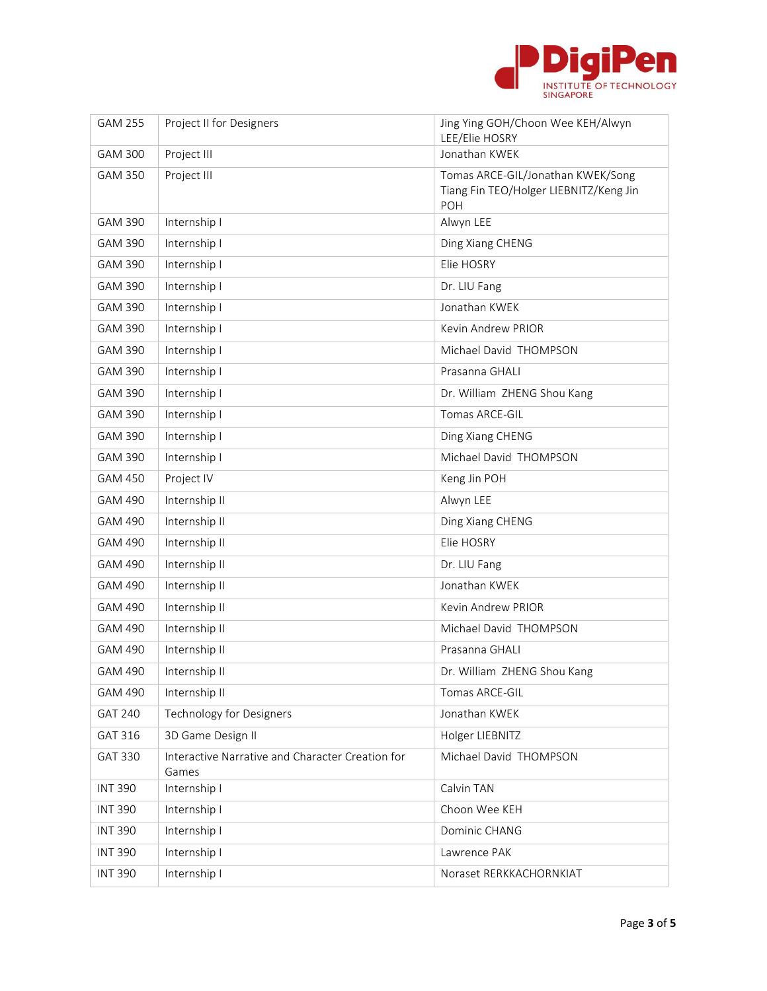

| <b>GAM 255</b> | Project II for Designers                                  | Jing Ying GOH/Choon Wee KEH/Alwyn<br>LEE/Elie HOSRY                                |
|----------------|-----------------------------------------------------------|------------------------------------------------------------------------------------|
| <b>GAM 300</b> | Project III                                               | Jonathan KWEK                                                                      |
| <b>GAM 350</b> | Project III                                               | Tomas ARCE-GIL/Jonathan KWEK/Song<br>Tiang Fin TEO/Holger LIEBNITZ/Keng Jin<br>POH |
| <b>GAM 390</b> | Internship I                                              | Alwyn LEE                                                                          |
| <b>GAM 390</b> | Internship I                                              | Ding Xiang CHENG                                                                   |
| <b>GAM 390</b> | Internship I                                              | Elie HOSRY                                                                         |
| <b>GAM 390</b> | Internship I                                              | Dr. LIU Fang                                                                       |
| <b>GAM 390</b> | Internship I                                              | Jonathan KWEK                                                                      |
| <b>GAM 390</b> | Internship I                                              | Kevin Andrew PRIOR                                                                 |
| <b>GAM 390</b> | Internship I                                              | Michael David THOMPSON                                                             |
| <b>GAM 390</b> | Internship I                                              | Prasanna GHALI                                                                     |
| <b>GAM 390</b> | Internship I                                              | Dr. William ZHENG Shou Kang                                                        |
| <b>GAM 390</b> | Internship I                                              | Tomas ARCE-GIL                                                                     |
| <b>GAM 390</b> | Internship I                                              | Ding Xiang CHENG                                                                   |
| <b>GAM 390</b> | Internship I                                              | Michael David THOMPSON                                                             |
| <b>GAM 450</b> | Project IV                                                | Keng Jin POH                                                                       |
| <b>GAM 490</b> | Internship II                                             | Alwyn LEE                                                                          |
| <b>GAM 490</b> | Internship II                                             | Ding Xiang CHENG                                                                   |
| <b>GAM 490</b> | Internship II                                             | Elie HOSRY                                                                         |
| <b>GAM 490</b> | Internship II                                             | Dr. LIU Fang                                                                       |
| <b>GAM 490</b> | Internship II                                             | Jonathan KWEK                                                                      |
| GAM 490        | Internship II                                             | Kevin Andrew PRIOR                                                                 |
| <b>GAM 490</b> | Internship II                                             | Michael David THOMPSON                                                             |
| <b>GAM 490</b> | Internship II                                             | Prasanna GHALI                                                                     |
| GAM 490        | Internship II                                             | Dr. William ZHENG Shou Kang                                                        |
| GAM 490        | Internship II                                             | Tomas ARCE-GIL                                                                     |
| <b>GAT 240</b> | <b>Technology for Designers</b>                           | Jonathan KWEK                                                                      |
| GAT 316        | 3D Game Design II                                         | Holger LIEBNITZ                                                                    |
| <b>GAT 330</b> | Interactive Narrative and Character Creation for<br>Games | Michael David THOMPSON                                                             |
| <b>INT 390</b> | Internship I                                              | Calvin TAN                                                                         |
| <b>INT 390</b> | Internship I                                              | Choon Wee KEH                                                                      |
| <b>INT 390</b> | Internship I                                              | Dominic CHANG                                                                      |
| <b>INT 390</b> | Internship I                                              | Lawrence PAK                                                                       |
| <b>INT 390</b> | Internship I                                              | Noraset RERKKACHORNKIAT                                                            |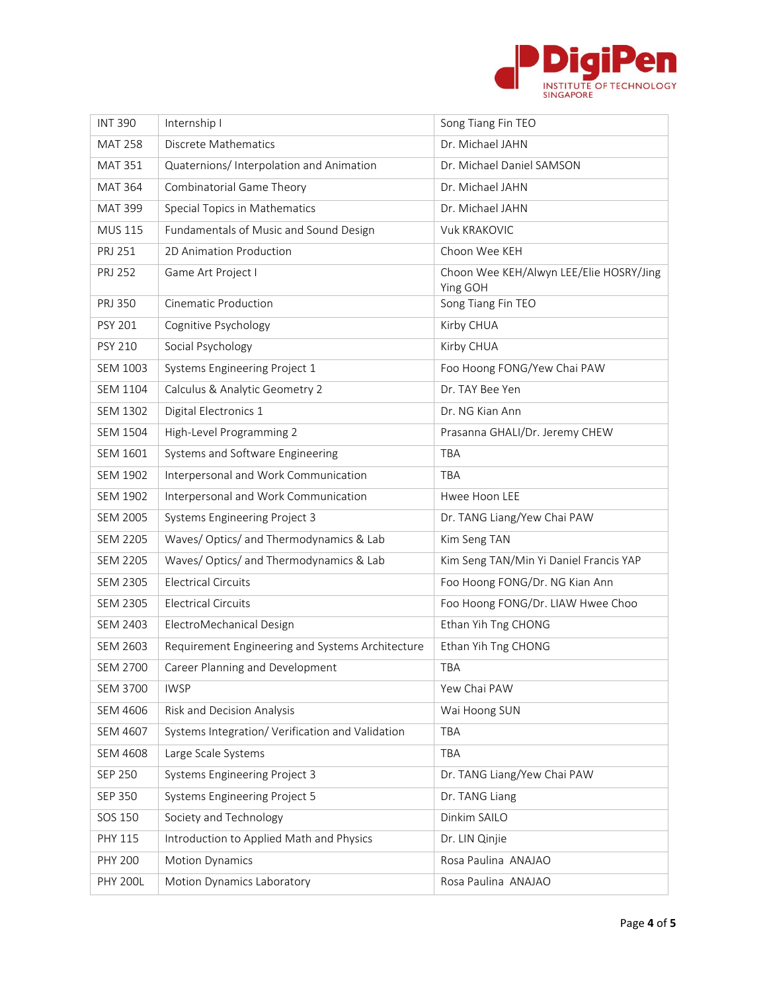

| <b>INT 390</b>  | Internship I                                     | Song Tiang Fin TEO                                  |
|-----------------|--------------------------------------------------|-----------------------------------------------------|
| <b>MAT 258</b>  | Discrete Mathematics                             | Dr. Michael JAHN                                    |
| <b>MAT 351</b>  | Quaternions/Interpolation and Animation          | Dr. Michael Daniel SAMSON                           |
| <b>MAT 364</b>  | Combinatorial Game Theory                        | Dr. Michael JAHN                                    |
| <b>MAT 399</b>  | Special Topics in Mathematics                    | Dr. Michael JAHN                                    |
| <b>MUS 115</b>  | Fundamentals of Music and Sound Design           | <b>Vuk KRAKOVIC</b>                                 |
| PRJ 251         | 2D Animation Production                          | Choon Wee KEH                                       |
| <b>PRJ 252</b>  | Game Art Project I                               | Choon Wee KEH/Alwyn LEE/Elie HOSRY/Jing<br>Ying GOH |
| PRJ 350         | Cinematic Production                             | Song Tiang Fin TEO                                  |
| <b>PSY 201</b>  | Cognitive Psychology                             | Kirby CHUA                                          |
| <b>PSY 210</b>  | Social Psychology                                | Kirby CHUA                                          |
| <b>SEM 1003</b> | Systems Engineering Project 1                    | Foo Hoong FONG/Yew Chai PAW                         |
| <b>SEM 1104</b> | Calculus & Analytic Geometry 2                   | Dr. TAY Bee Yen                                     |
| <b>SEM 1302</b> | Digital Electronics 1                            | Dr. NG Kian Ann                                     |
| <b>SEM 1504</b> | High-Level Programming 2                         | Prasanna GHALI/Dr. Jeremy CHEW                      |
| <b>SEM 1601</b> | Systems and Software Engineering                 | TBA                                                 |
| <b>SEM 1902</b> | Interpersonal and Work Communication             | TBA                                                 |
| <b>SEM 1902</b> | Interpersonal and Work Communication             | Hwee Hoon LEE                                       |
| <b>SEM 2005</b> | Systems Engineering Project 3                    | Dr. TANG Liang/Yew Chai PAW                         |
| <b>SEM 2205</b> | Waves/Optics/ and Thermodynamics & Lab           | Kim Seng TAN                                        |
| <b>SEM 2205</b> | Waves/Optics/ and Thermodynamics & Lab           | Kim Seng TAN/Min Yi Daniel Francis YAP              |
| <b>SEM 2305</b> | <b>Electrical Circuits</b>                       | Foo Hoong FONG/Dr. NG Kian Ann                      |
| <b>SEM 2305</b> | <b>Electrical Circuits</b>                       | Foo Hoong FONG/Dr. LIAW Hwee Choo                   |
| SEM 2403        | ElectroMechanical Design                         | Ethan Yih Tng CHONG                                 |
| SEM 2603        | Requirement Engineering and Systems Architecture | Ethan Yih Tng CHONG                                 |
| <b>SEM 2700</b> | Career Planning and Development                  | TBA                                                 |
| <b>SEM 3700</b> | <b>IWSP</b>                                      | Yew Chai PAW                                        |
| <b>SEM 4606</b> | Risk and Decision Analysis                       | Wai Hoong SUN                                       |
| <b>SEM 4607</b> | Systems Integration/ Verification and Validation | TBA                                                 |
| <b>SEM 4608</b> | Large Scale Systems                              | TBA                                                 |
| <b>SEP 250</b>  | <b>Systems Engineering Project 3</b>             | Dr. TANG Liang/Yew Chai PAW                         |
| <b>SEP 350</b>  | Systems Engineering Project 5                    | Dr. TANG Liang                                      |
| SOS 150         | Society and Technology                           | Dinkim SAILO                                        |
| PHY 115         | Introduction to Applied Math and Physics         | Dr. LIN Qinjie                                      |
| <b>PHY 200</b>  | <b>Motion Dynamics</b>                           | Rosa Paulina ANAJAO                                 |
| <b>PHY 200L</b> | Motion Dynamics Laboratory                       | Rosa Paulina ANAJAO                                 |